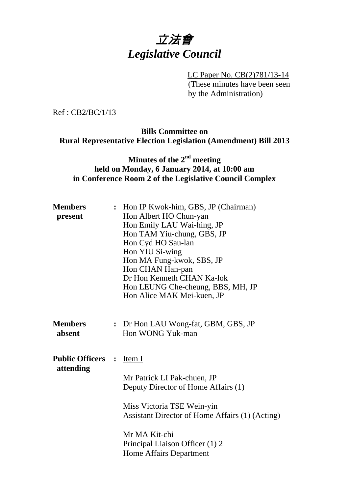# 立法會 *Legislative Council*

 LC Paper No. CB(2)781/13-14 (These minutes have been seen by the Administration)

Ref : CB2/BC/1/13

## **Bills Committee on Rural Representative Election Legislation (Amendment) Bill 2013**

# **Minutes of the 2nd meeting held on Monday, 6 January 2014, at 10:00 am in Conference Room 2 of the Legislative Council Complex**

| <b>Members</b><br>present           |                | : Hon IP Kwok-him, GBS, JP (Chairman)<br>Hon Albert HO Chun-yan<br>Hon Emily LAU Wai-hing, JP<br>Hon TAM Yiu-chung, GBS, JP<br>Hon Cyd HO Sau-lan<br>Hon YIU Si-wing<br>Hon MA Fung-kwok, SBS, JP<br>Hon CHAN Han-pan<br>Dr Hon Kenneth CHAN Ka-lok<br>Hon LEUNG Che-cheung, BBS, MH, JP<br>Hon Alice MAK Mei-kuen, JP |
|-------------------------------------|----------------|------------------------------------------------------------------------------------------------------------------------------------------------------------------------------------------------------------------------------------------------------------------------------------------------------------------------|
| <b>Members</b><br>absent            |                | : Dr Hon LAU Wong-fat, GBM, GBS, JP<br>Hon WONG Yuk-man                                                                                                                                                                                                                                                                |
| <b>Public Officers</b><br>attending | $\ddot{\cdot}$ | Item I<br>Mr Patrick LI Pak-chuen, JP<br>Deputy Director of Home Affairs (1)<br>Miss Victoria TSE Wein-yin<br>Assistant Director of Home Affairs (1) (Acting)<br>Mr MA Kit-chi<br>Principal Liaison Officer (1) 2<br><b>Home Affairs Department</b>                                                                    |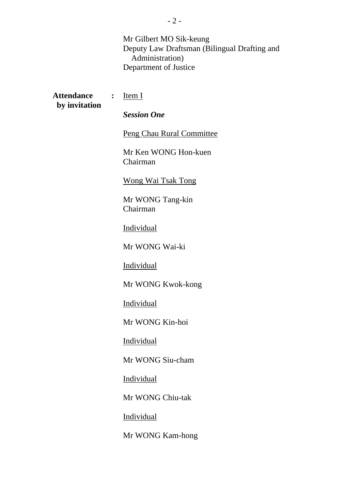Mr Gilbert MO Sik-keung Deputy Law Draftsman (Bilingual Drafting and Administration) Department of Justice

**Attendance :** Item I  **by invitation**   *Session One*  Peng Chau Rural Committee Mr Ken WONG Hon-kuen Chairman Wong Wai Tsak Tong Mr WONG Tang-kin Chairman Individual Mr WONG Wai-ki Individual Mr WONG Kwok-kong Individual Mr WONG Kin-hoi **Individual** Mr WONG Siu-cham Individual Mr WONG Chiu-tak Individual

Mr WONG Kam-hong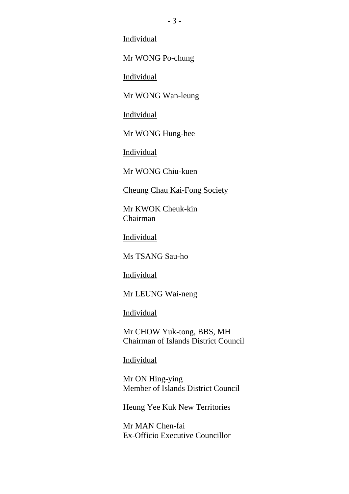Individual

Mr WONG Po-chung

**Individual** 

Mr WONG Wan-leung

Individual

Mr WONG Hung-hee

Individual

Mr WONG Chiu-kuen

Cheung Chau Kai-Fong Society

Mr KWOK Cheuk-kin Chairman

Individual

Ms TSANG Sau-ho

Individual

Mr LEUNG Wai-neng

Individual

Mr CHOW Yuk-tong, BBS, MH Chairman of Islands District Council

Individual

Mr ON Hing-ying Member of Islands District Council

Heung Yee Kuk New Territories

Mr MAN Chen-fai Ex-Officio Executive Councillor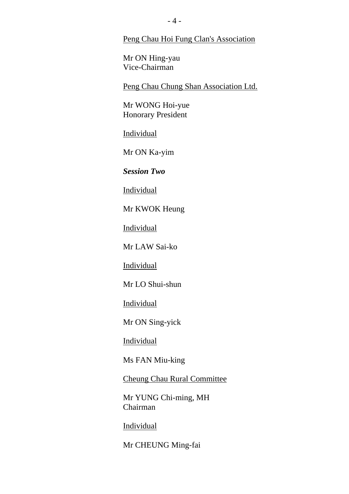Peng Chau Hoi Fung Clan's Association

Mr ON Hing-yau Vice-Chairman

Peng Chau Chung Shan Association Ltd.

Mr WONG Hoi-yue Honorary President

**Individual** 

Mr ON Ka-yim

*Session Two*

Individual

Mr KWOK Heung

Individual

Mr LAW Sai-ko

Individual

Mr LO Shui-shun

Individual

Mr ON Sing-yick

**Individual** 

Ms FAN Miu-king

Cheung Chau Rural Committee

Mr YUNG Chi-ming, MH Chairman

Individual

Mr CHEUNG Ming-fai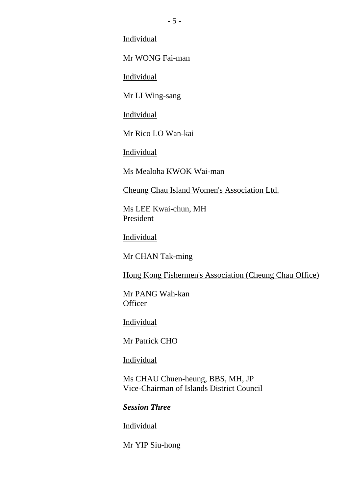**Individual** 

Mr WONG Fai-man

Individual

Mr LI Wing-sang

Individual

Mr Rico LO Wan-kai

Individual

Ms Mealoha KWOK Wai-man

Cheung Chau Island Women's Association Ltd.

Ms LEE Kwai-chun, MH President

Individual

Mr CHAN Tak-ming

Hong Kong Fishermen's Association (Cheung Chau Office)

Mr PANG Wah-kan **Officer** 

**Individual** 

Mr Patrick CHO

Individual

Ms CHAU Chuen-heung, BBS, MH, JP Vice-Chairman of Islands District Council

*Session Three*

Individual

Mr YIP Siu-hong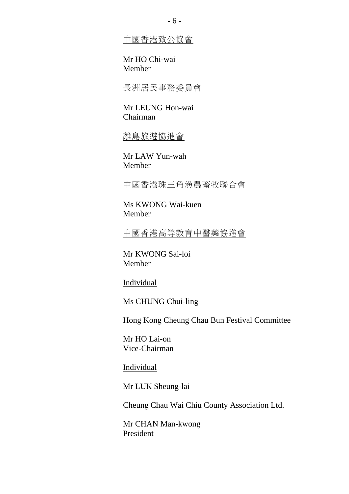中國香港致公協會

Mr HO Chi-wai Member

長洲居民事務委員會

Mr LEUNG Hon-wai Chairman

離島旅遊協進會

Mr LAW Yun-wah Member

中國香港珠三角漁農畜牧聯合會

Ms KWONG Wai-kuen Member

中國香港高等教育中醫藥協進會

Mr KWONG Sai-loi Member

Individual

Ms CHUNG Chui-ling

Hong Kong Cheung Chau Bun Festival Committee

Mr HO Lai-on Vice-Chairman

Individual

Mr LUK Sheung-lai

Cheung Chau Wai Chiu County Association Ltd.

Mr CHAN Man-kwong President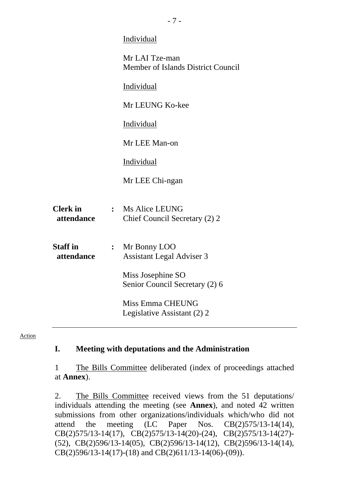|                               |                | Individual                                           |
|-------------------------------|----------------|------------------------------------------------------|
|                               |                | Mr LAI Tze-man<br>Member of Islands District Council |
|                               |                | Individual                                           |
|                               |                | Mr LEUNG Ko-kee                                      |
|                               |                | Individual                                           |
|                               |                | Mr LEE Man-on                                        |
|                               |                | Individual                                           |
|                               |                | Mr LEE Chi-ngan                                      |
| <b>Clerk</b> in<br>attendance |                | : Ms Alice LEUNG<br>Chief Council Secretary (2) 2    |
| <b>Staff</b> in<br>attendance | $\ddot{\cdot}$ | Mr Bonny LOO<br><b>Assistant Legal Adviser 3</b>     |
|                               |                | Miss Josephine SO<br>Senior Council Secretary (2) 6  |
|                               |                | Miss Emma CHEUNG<br>Legislative Assistant (2) 2      |

#### Action

### **I. Meeting with deputations and the Administration**

1 The Bills Committee deliberated (index of proceedings attached at **Annex**).

2. The Bills Committee received views from the 51 deputations/ individuals attending the meeting (see **Annex**), and noted 42 written submissions from other organizations/individuals which/who did not attend the meeting (LC Paper Nos. CB(2)575/13-14(14), CB(2)575/13-14(17), CB(2)575/13-14(20)-(24), CB(2)575/13-14(27)- (52), CB(2)596/13-14(05), CB(2)596/13-14(12), CB(2)596/13-14(14), CB(2)596/13-14(17)-(18) and CB(2)611/13-14(06)-(09)).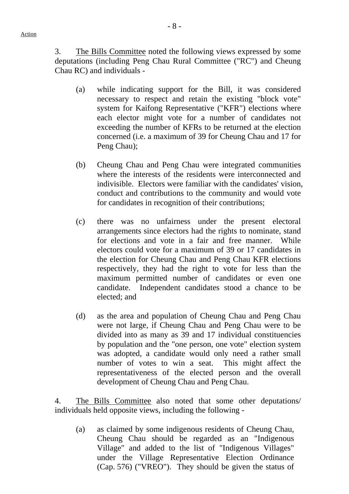Action

3. The Bills Committee noted the following views expressed by some deputations (including Peng Chau Rural Committee ("RC") and Cheung Chau RC) and individuals -

- (a) while indicating support for the Bill, it was considered necessary to respect and retain the existing "block vote" system for Kaifong Representative ("KFR") elections where each elector might vote for a number of candidates not exceeding the number of KFRs to be returned at the election concerned (i.e. a maximum of 39 for Cheung Chau and 17 for Peng Chau);
- (b) Cheung Chau and Peng Chau were integrated communities where the interests of the residents were interconnected and indivisible. Electors were familiar with the candidates' vision, conduct and contributions to the community and would vote for candidates in recognition of their contributions;
- (c) there was no unfairness under the present electoral arrangements since electors had the rights to nominate, stand for elections and vote in a fair and free manner. While electors could vote for a maximum of 39 or 17 candidates in the election for Cheung Chau and Peng Chau KFR elections respectively, they had the right to vote for less than the maximum permitted number of candidates or even one candidate. Independent candidates stood a chance to be elected; and
- (d) as the area and population of Cheung Chau and Peng Chau were not large, if Cheung Chau and Peng Chau were to be divided into as many as 39 and 17 individual constituencies by population and the "one person, one vote" election system was adopted, a candidate would only need a rather small number of votes to win a seat. This might affect the representativeness of the elected person and the overall development of Cheung Chau and Peng Chau.

4. The Bills Committee also noted that some other deputations/ individuals held opposite views, including the following -

(a) as claimed by some indigenous residents of Cheung Chau, Cheung Chau should be regarded as an "Indigenous Village" and added to the list of "Indigenous Villages" under the Village Representative Election Ordinance (Cap. 576) ("VREO"). They should be given the status of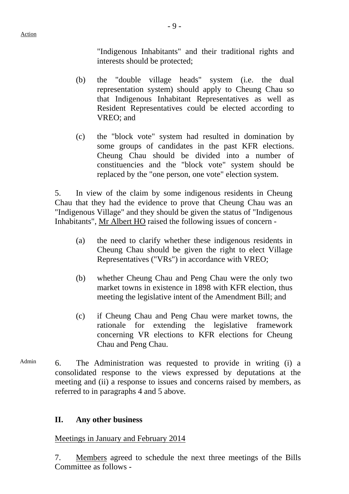Action

"Indigenous Inhabitants" and their traditional rights and interests should be protected;

- (b) the "double village heads" system (i.e. the dual representation system) should apply to Cheung Chau so that Indigenous Inhabitant Representatives as well as Resident Representatives could be elected according to VREO; and
- (c) the "block vote" system had resulted in domination by some groups of candidates in the past KFR elections. Cheung Chau should be divided into a number of constituencies and the "block vote" system should be replaced by the "one person, one vote" election system.

5. In view of the claim by some indigenous residents in Cheung Chau that they had the evidence to prove that Cheung Chau was an "Indigenous Village" and they should be given the status of "Indigenous Inhabitants", Mr Albert HO raised the following issues of concern -

- (a) the need to clarify whether these indigenous residents in Cheung Chau should be given the right to elect Village Representatives ("VRs") in accordance with VREO;
- (b) whether Cheung Chau and Peng Chau were the only two market towns in existence in 1898 with KFR election, thus meeting the legislative intent of the Amendment Bill; and
- (c) if Cheung Chau and Peng Chau were market towns, the rationale for extending the legislative framework concerning VR elections to KFR elections for Cheung Chau and Peng Chau.
- Admin 6. The Administration was requested to provide in writing (i) a consolidated response to the views expressed by deputations at the meeting and (ii) a response to issues and concerns raised by members, as referred to in paragraphs 4 and 5 above.

# **II. Any other business**

Meetings in January and February 2014

7. Members agreed to schedule the next three meetings of the Bills Committee as follows -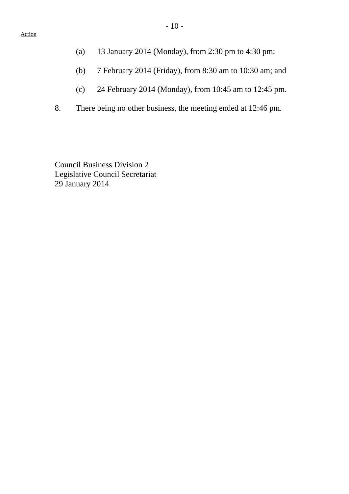- (a) 13 January 2014 (Monday), from 2:30 pm to 4:30 pm;
- (b) 7 February 2014 (Friday), from 8:30 am to 10:30 am; and
- (c) 24 February 2014 (Monday), from 10:45 am to 12:45 pm.
- 8. There being no other business, the meeting ended at 12:46 pm.

Council Business Division 2 Legislative Council Secretariat 29 January 2014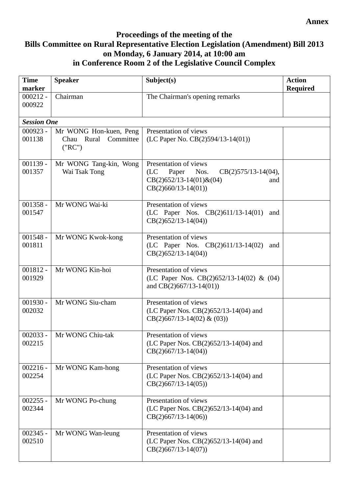#### **Annex**

# **Proceedings of the meeting of the Bills Committee on Rural Representative Election Legislation (Amendment) Bill 2013 on Monday, 6 January 2014, at 10:00 am in Conference Room 2 of the Legislative Council Complex**

| <b>Time</b><br>marker | <b>Speaker</b>                                              | Subject(s)                                                                                                                              | <b>Action</b><br><b>Required</b> |
|-----------------------|-------------------------------------------------------------|-----------------------------------------------------------------------------------------------------------------------------------------|----------------------------------|
| $000212 -$            | Chairman                                                    | The Chairman's opening remarks                                                                                                          |                                  |
| 000922                |                                                             |                                                                                                                                         |                                  |
| <b>Session One</b>    |                                                             |                                                                                                                                         |                                  |
| 000923 -<br>001138    | Mr WONG Hon-kuen, Peng<br>Chau Rural<br>Committee<br>("RC") | Presentation of views<br>(LC Paper No. $CB(2)594/13-14(01)$ )                                                                           |                                  |
| $001139 -$<br>001357  | Mr WONG Tang-kin, Wong<br>Wai Tsak Tong                     | Presentation of views<br>(LC)<br>Paper<br>Nos.<br>$CB(2)575/13-14(04),$<br>$CB(2)652/13-14(01) \& (04)$<br>and<br>$CB(2)660/13-14(01))$ |                                  |
| $001358 -$<br>001547  | Mr WONG Wai-ki                                              | Presentation of views<br>(LC Paper Nos. $CB(2)611/13-14(01)$<br>and<br>$CB(2)652/13-14(04))$                                            |                                  |
| $001548 -$<br>001811  | Mr WONG Kwok-kong                                           | Presentation of views<br>(LC Paper Nos. $CB(2)611/13-14(02)$ )<br>and<br>$CB(2)652/13-14(04))$                                          |                                  |
| $001812 -$<br>001929  | Mr WONG Kin-hoi                                             | Presentation of views<br>(LC Paper Nos. CB(2)652/13-14(02) & (04)<br>and CB(2)667/13-14(01))                                            |                                  |
| $001930 -$<br>002032  | Mr WONG Siu-cham                                            | Presentation of views<br>(LC Paper Nos. CB(2)652/13-14(04) and<br>$CB(2)667/13-14(02) \& (03))$                                         |                                  |
| $002033 -$<br>002215  | Mr WONG Chiu-tak                                            | Presentation of views<br>(LC Paper Nos. CB(2)652/13-14(04) and<br>$CB(2)667/13-14(04))$                                                 |                                  |
| $002216 -$<br>002254  | Mr WONG Kam-hong                                            | Presentation of views<br>(LC Paper Nos. CB(2)652/13-14(04) and<br>$CB(2)667/13-14(05))$                                                 |                                  |
| $002255 -$<br>002344  | Mr WONG Po-chung                                            | Presentation of views<br>(LC Paper Nos. CB(2)652/13-14(04) and<br>$CB(2)667/13-14(06))$                                                 |                                  |
| $002345 -$<br>002510  | Mr WONG Wan-leung                                           | Presentation of views<br>(LC Paper Nos. CB(2)652/13-14(04) and<br>$CB(2)667/13-14(07))$                                                 |                                  |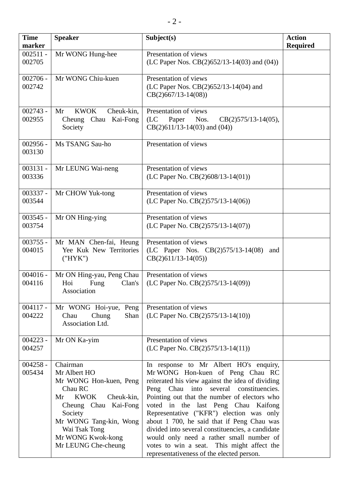| <b>Time</b><br>marker | <b>Speaker</b>                                                                                                                                                                                                             | Subject(s)                                                                                                                                                                                                                                                                                                                                                                                                                                                                                                                                           | <b>Action</b><br><b>Required</b> |
|-----------------------|----------------------------------------------------------------------------------------------------------------------------------------------------------------------------------------------------------------------------|------------------------------------------------------------------------------------------------------------------------------------------------------------------------------------------------------------------------------------------------------------------------------------------------------------------------------------------------------------------------------------------------------------------------------------------------------------------------------------------------------------------------------------------------------|----------------------------------|
| $002511 -$<br>002705  | Mr WONG Hung-hee                                                                                                                                                                                                           | Presentation of views<br>(LC Paper Nos. CB $(2)$ 652/13-14 $(03)$ and $(04)$ )                                                                                                                                                                                                                                                                                                                                                                                                                                                                       |                                  |
| $002706 -$<br>002742  | Mr WONG Chiu-kuen                                                                                                                                                                                                          | Presentation of views<br>(LC Paper Nos. CB(2)652/13-14(04) and<br>$CB(2)667/13-14(08))$                                                                                                                                                                                                                                                                                                                                                                                                                                                              |                                  |
| $002743 -$<br>002955  | <b>KWOK</b><br>Cheuk-kin,<br>Mr<br>Cheung Chau<br>Kai-Fong<br>Society                                                                                                                                                      | Presentation of views<br>(LC)<br>Paper<br>Nos.<br>$CB(2)575/13-14(05),$<br>$CB(2)611/13-14(03)$ and $(04)$ )                                                                                                                                                                                                                                                                                                                                                                                                                                         |                                  |
| $002956 -$<br>003130  | Ms TSANG Sau-ho                                                                                                                                                                                                            | Presentation of views                                                                                                                                                                                                                                                                                                                                                                                                                                                                                                                                |                                  |
| $003131 -$<br>003336  | Mr LEUNG Wai-neng                                                                                                                                                                                                          | Presentation of views<br>(LC Paper No. CB(2)608/13-14(01))                                                                                                                                                                                                                                                                                                                                                                                                                                                                                           |                                  |
| 003337 -<br>003544    | Mr CHOW Yuk-tong                                                                                                                                                                                                           | Presentation of views<br>(LC Paper No. CB(2)575/13-14(06))                                                                                                                                                                                                                                                                                                                                                                                                                                                                                           |                                  |
| $003545 -$<br>003754  | Mr ON Hing-ying                                                                                                                                                                                                            | Presentation of views<br>(LC Paper No. CB(2)575/13-14(07))                                                                                                                                                                                                                                                                                                                                                                                                                                                                                           |                                  |
| $003755 -$<br>004015  | Mr MAN Chen-fai, Heung<br>Yee Kuk New Territories<br>('HYK")                                                                                                                                                               | Presentation of views<br>(LC Paper Nos. $CB(2)575/13-14(08)$ )<br>and<br>$CB(2)611/13-14(05))$                                                                                                                                                                                                                                                                                                                                                                                                                                                       |                                  |
| $004016 -$<br>004116  | Mr ON Hing-yau, Peng Chau<br>Hoi<br>Clan's<br>Fung<br>Association                                                                                                                                                          | Presentation of views<br>(LC Paper No. CB(2)575/13-14(09))                                                                                                                                                                                                                                                                                                                                                                                                                                                                                           |                                  |
| $004117 -$<br>004222  | Mr WONG Hoi-yue,<br>Peng<br>Chau<br>Chung<br>Shan<br>Association Ltd.                                                                                                                                                      | Presentation of views<br>(LC Paper No. CB(2)575/13-14(10))                                                                                                                                                                                                                                                                                                                                                                                                                                                                                           |                                  |
| $004223 -$<br>004257  | Mr ON Ka-yim                                                                                                                                                                                                               | Presentation of views<br>(LC Paper No. CB(2)575/13-14(11))                                                                                                                                                                                                                                                                                                                                                                                                                                                                                           |                                  |
| $004258 -$<br>005434  | Chairman<br>Mr Albert HO<br>Mr WONG Hon-kuen, Peng<br>Chau RC<br><b>KWOK</b><br>Cheuk-kin,<br>Mr<br>Cheung Chau Kai-Fong<br>Society<br>Mr WONG Tang-kin, Wong<br>Wai Tsak Tong<br>Mr WONG Kwok-kong<br>Mr LEUNG Che-cheung | In response to Mr Albert HO's enquiry,<br>Mr WONG Hon-kuen of Peng Chau RC<br>reiterated his view against the idea of dividing<br>Peng Chau into several constituencies.<br>Pointing out that the number of electors who<br>voted in the last Peng Chau Kaifong<br>Representative ("KFR") election was only<br>about 1 700, he said that if Peng Chau was<br>divided into several constituencies, a candidate<br>would only need a rather small number of<br>votes to win a seat. This might affect the<br>representativeness of the elected person. |                                  |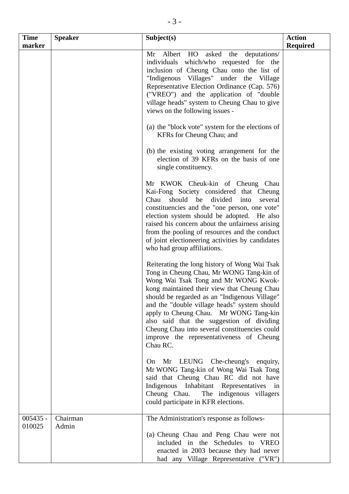| <b>Time</b>          | <b>Speaker</b>    | Subject(s)                                                                                                                                                                                                                                                                                                                                                                                                                                                                        | <b>Action</b>   |
|----------------------|-------------------|-----------------------------------------------------------------------------------------------------------------------------------------------------------------------------------------------------------------------------------------------------------------------------------------------------------------------------------------------------------------------------------------------------------------------------------------------------------------------------------|-----------------|
| marker               |                   |                                                                                                                                                                                                                                                                                                                                                                                                                                                                                   | <b>Required</b> |
|                      |                   | asked the deputations/<br>Albert HO<br>Mr<br>individuals which/who requested for the<br>inclusion of Cheung Chau onto the list of<br>"Indigenous Villages" under the Village<br>Representative Election Ordinance (Cap. 576)<br>("VREO") and the application of "double<br>village heads" system to Cheung Chau to give<br>views on the following issues -<br>(a) the "block vote" system for the elections of                                                                    |                 |
|                      |                   | KFRs for Cheung Chau; and<br>(b) the existing voting arrangement for the<br>election of 39 KFRs on the basis of one<br>single constituency.                                                                                                                                                                                                                                                                                                                                       |                 |
|                      |                   | Mr KWOK Cheuk-kin of Cheung Chau<br>Kai-Fong Society considered that Cheung<br>Chau<br>should be<br>divided<br>into<br>several<br>constituencies and the "one person, one vote"<br>election system should be adopted. He also<br>raised his concern about the unfairness arising<br>from the pooling of resources and the conduct<br>of joint electioneering activities by candidates<br>who had group affiliations.                                                              |                 |
|                      |                   | Reiterating the long history of Wong Wai Tsak<br>Tong in Cheung Chau, Mr WONG Tang-kin of<br>Wong Wai Tsak Tong and Mr WONG Kwok-<br>kong maintained their view that Cheung Chau<br>should be regarded as an "Indigenous Village"<br>and the "double village heads" system should<br>apply to Cheung Chau. Mr WONG Tang-kin<br>also said that the suggestion of dividing<br>Cheung Chau into several constituencies could<br>improve the representativeness of Cheung<br>Chau RC. |                 |
|                      |                   | Mr LEUNG Che-cheung's enquiry,<br>On<br>Mr WONG Tang-kin of Wong Wai Tsak Tong<br>said that Cheung Chau RC did not have<br>Indigenous Inhabitant Representatives in<br>Cheung Chau.<br>The indigenous villagers<br>could participate in KFR elections.                                                                                                                                                                                                                            |                 |
| $005435 -$<br>010025 | Chairman<br>Admin | The Administration's response as follows-<br>(a) Cheung Chau and Peng Chau were not<br>included in the Schedules to VREO<br>enacted in 2003 because they had never<br>had any Village Representative ("VR")                                                                                                                                                                                                                                                                       |                 |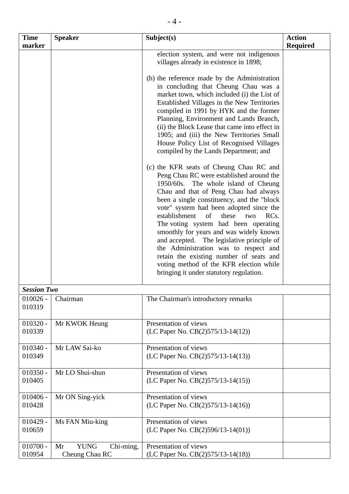| <b>Time</b><br>marker | <b>Speaker</b>                                   | Subject(s)                                                                                                                                                                                                                                                                                                                                                                                                                                                                                                                                                                                                                        | <b>Action</b><br><b>Required</b> |
|-----------------------|--------------------------------------------------|-----------------------------------------------------------------------------------------------------------------------------------------------------------------------------------------------------------------------------------------------------------------------------------------------------------------------------------------------------------------------------------------------------------------------------------------------------------------------------------------------------------------------------------------------------------------------------------------------------------------------------------|----------------------------------|
|                       |                                                  | election system, and were not indigenous<br>villages already in existence in 1898;                                                                                                                                                                                                                                                                                                                                                                                                                                                                                                                                                |                                  |
|                       |                                                  | (b) the reference made by the Administration<br>in concluding that Cheung Chau was a<br>market town, which included (i) the List of<br>Established Villages in the New Territories<br>compiled in 1991 by HYK and the former<br>Planning, Environment and Lands Branch,<br>(ii) the Block Lease that came into effect in<br>1905; and (iii) the New Territories Small<br>House Policy List of Recognised Villages<br>compiled by the Lands Department; and                                                                                                                                                                        |                                  |
|                       |                                                  | (c) the KFR seats of Cheung Chau RC and<br>Peng Chau RC were established around the<br>1950/60s. The whole island of Cheung<br>Chau and that of Peng Chau had always<br>been a single constituency, and the "block<br>vote" system had been adopted since the<br>establishment<br>of these<br>two<br>RC <sub>s</sub> .<br>The voting system had been operating<br>smoothly for years and was widely known<br>and accepted. The legislative principle of<br>the Administration was to respect and<br>retain the existing number of seats and<br>voting method of the KFR election while<br>bringing it under statutory regulation. |                                  |
| <b>Session Two</b>    |                                                  |                                                                                                                                                                                                                                                                                                                                                                                                                                                                                                                                                                                                                                   |                                  |
| $010026 -$<br>010319  | Chairman                                         | The Chairman's introductory remarks                                                                                                                                                                                                                                                                                                                                                                                                                                                                                                                                                                                               |                                  |
| $010320 -$<br>010339  | Mr KWOK Heung                                    | Presentation of views<br>(LC Paper No. CB(2)575/13-14(12))                                                                                                                                                                                                                                                                                                                                                                                                                                                                                                                                                                        |                                  |
| $010340 -$<br>010349  | Mr LAW Sai-ko                                    | Presentation of views<br>(LC Paper No. CB(2)575/13-14(13))                                                                                                                                                                                                                                                                                                                                                                                                                                                                                                                                                                        |                                  |
| $010350 -$<br>010405  | Mr LO Shui-shun                                  | Presentation of views<br>(LC Paper No. CB(2)575/13-14(15))                                                                                                                                                                                                                                                                                                                                                                                                                                                                                                                                                                        |                                  |
| $010406 -$<br>010428  | Mr ON Sing-yick                                  | Presentation of views<br>(LC Paper No. CB(2)575/13-14(16))                                                                                                                                                                                                                                                                                                                                                                                                                                                                                                                                                                        |                                  |
| $010429 -$<br>010659  | Ms FAN Miu-king                                  | Presentation of views<br>(LC Paper No. CB(2)596/13-14(01))                                                                                                                                                                                                                                                                                                                                                                                                                                                                                                                                                                        |                                  |
| $010700 -$<br>010954  | <b>YUNG</b><br>Chi-ming,<br>Mr<br>Cheung Chau RC | Presentation of views<br>(LC Paper No. CB(2)575/13-14(18))                                                                                                                                                                                                                                                                                                                                                                                                                                                                                                                                                                        |                                  |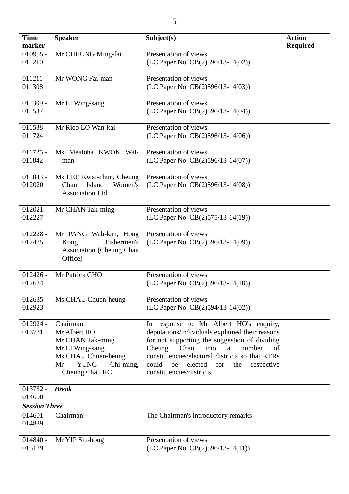| <b>Time</b><br>marker | <b>Speaker</b>                                                                                                                             | Subject(s)                                                                                                                                                                                                                                                                                                                   | <b>Action</b><br><b>Required</b> |
|-----------------------|--------------------------------------------------------------------------------------------------------------------------------------------|------------------------------------------------------------------------------------------------------------------------------------------------------------------------------------------------------------------------------------------------------------------------------------------------------------------------------|----------------------------------|
| $010955 -$<br>011210  | Mr CHEUNG Ming-fai                                                                                                                         | Presentation of views<br>(LC Paper No. CB(2)596/13-14(02))                                                                                                                                                                                                                                                                   |                                  |
| $011211 -$<br>011308  | Mr WONG Fai-man                                                                                                                            | Presentation of views<br>(LC Paper No. CB(2)596/13-14(03))                                                                                                                                                                                                                                                                   |                                  |
| $011309 -$<br>011537  | Mr LI Wing-sang                                                                                                                            | Presentation of views<br>(LC Paper No. CB(2)596/13-14(04))                                                                                                                                                                                                                                                                   |                                  |
| $011538 -$<br>011724  | Mr Rico LO Wan-kai                                                                                                                         | Presentation of views<br>(LC Paper No. CB(2)596/13-14(06))                                                                                                                                                                                                                                                                   |                                  |
| $011725 -$<br>011842  | Ms Mealoha KWOK Wai-<br>man                                                                                                                | Presentation of views<br>(LC Paper No. $CB(2)596/13-14(07)$ )                                                                                                                                                                                                                                                                |                                  |
| $011843 -$<br>012020  | Ms LEE Kwai-chun, Cheung<br>Island<br>Women's<br>Chau<br>Association Ltd.                                                                  | Presentation of views<br>(LC Paper No. CB(2)596/13-14(08))                                                                                                                                                                                                                                                                   |                                  |
| $012021 -$<br>012227  | Mr CHAN Tak-ming                                                                                                                           | Presentation of views<br>(LC Paper No. CB(2)575/13-14(19))                                                                                                                                                                                                                                                                   |                                  |
| $012228 -$<br>012425  | Mr PANG Wah-kan, Hong<br>Fishermen's<br>Kong<br>Association (Cheung Chau<br>Office)                                                        | Presentation of views<br>(LC Paper No. CB(2)596/13-14(09))                                                                                                                                                                                                                                                                   |                                  |
| $012426 -$<br>012634  | Mr Patrick CHO                                                                                                                             | Presentation of views<br>(LC Paper No. $CB(2)596/13-14(10)$ )                                                                                                                                                                                                                                                                |                                  |
| $012635 -$<br>012923  | Ms CHAU Chuen-heung                                                                                                                        | Presentation of views<br>(LC Paper No. $CB(2)594/13-14(02)$ )                                                                                                                                                                                                                                                                |                                  |
| $012924 -$<br>013731  | Chairman<br>Mr Albert HO<br>Mr CHAN Tak-ming<br>Mr LI Wing-sang<br>Ms CHAU Chuen-heung<br><b>YUNG</b><br>Chi-ming,<br>Mr<br>Cheung Chau RC | In response to Mr Albert HO's enquiry,<br>deputations/individuals explained their reasons<br>for not supporting the suggestion of dividing<br>Cheung<br>Chau<br>into<br>number<br>a<br>of<br>constituencies/electoral districts so that KFRs<br>could<br>be<br>elected for<br>the<br>respective<br>constituencies/districts. |                                  |
| $013732 -$<br>014600  | <b>Break</b>                                                                                                                               |                                                                                                                                                                                                                                                                                                                              |                                  |
| <b>Session Three</b>  |                                                                                                                                            |                                                                                                                                                                                                                                                                                                                              |                                  |
| $014601 -$<br>014839  | Chairman                                                                                                                                   | The Chairman's introductory remarks                                                                                                                                                                                                                                                                                          |                                  |
| $014840 -$<br>015129  | Mr YIP Siu-hong                                                                                                                            | Presentation of views<br>(LC Paper No. CB(2)596/13-14(11))                                                                                                                                                                                                                                                                   |                                  |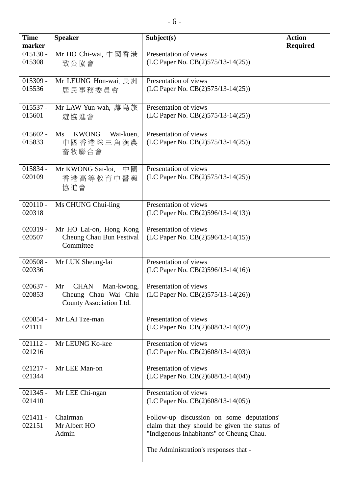| <b>Time</b><br>marker | <b>Speaker</b>                                                                     | Subject(s)                                                                                                                                                                      | <b>Action</b><br><b>Required</b> |
|-----------------------|------------------------------------------------------------------------------------|---------------------------------------------------------------------------------------------------------------------------------------------------------------------------------|----------------------------------|
| $015130 -$<br>015308  | Mr HO Chi-wai, 中國香港<br>致公協會                                                        | Presentation of views<br>(LC Paper No. CB(2)575/13-14(25))                                                                                                                      |                                  |
| $015309 -$<br>015536  | Mr LEUNG Hon-wai, 長洲<br>居民事務委員會                                                    | Presentation of views<br>(LC Paper No. CB(2)575/13-14(25))                                                                                                                      |                                  |
| $015537 -$<br>015601  | Mr LAW Yun-wah, 離島旅<br>遊協進會                                                        | Presentation of views<br>(LC Paper No. CB(2)575/13-14(25))                                                                                                                      |                                  |
| $015602 -$<br>015833  | <b>KWONG</b><br>Ms<br>Wai-kuen,<br>中國香港珠三角漁農<br>畜牧聯合會                              | Presentation of views<br>(LC Paper No. CB(2)575/13-14(25))                                                                                                                      |                                  |
| $015834 -$<br>020109  | Mr KWONG Sai-loi.<br>中國<br>香港高等教育中醫藥<br>協進會                                        | Presentation of views<br>(LC Paper No. CB(2)575/13-14(25))                                                                                                                      |                                  |
| $020110 -$<br>020318  | Ms CHUNG Chui-ling                                                                 | Presentation of views<br>(LC Paper No. CB(2)596/13-14(13))                                                                                                                      |                                  |
| $020319 -$<br>020507  | Mr HO Lai-on, Hong Kong<br>Cheung Chau Bun Festival<br>Committee                   | Presentation of views<br>(LC Paper No. CB(2)596/13-14(15))                                                                                                                      |                                  |
| $020508 -$<br>020336  | Mr LUK Sheung-lai                                                                  | Presentation of views<br>(LC Paper No. CB(2)596/13-14(16))                                                                                                                      |                                  |
| $020637 -$<br>020853  | <b>CHAN</b><br>Mr<br>Man-kwong,<br>Cheung Chau Wai Chiu<br>County Association Ltd. | Presentation of views<br>(LC Paper No. CB(2)575/13-14(26))                                                                                                                      |                                  |
| $020854 -$<br>021111  | Mr LAI Tze-man                                                                     | Presentation of views<br>(LC Paper No. $CB(2)608/13-14(02)$ )                                                                                                                   |                                  |
| $021112 -$<br>021216  | Mr LEUNG Ko-kee                                                                    | Presentation of views<br>(LC Paper No. CB(2)608/13-14(03))                                                                                                                      |                                  |
| $021217 -$<br>021344  | Mr LEE Man-on                                                                      | Presentation of views<br>(LC Paper No. CB(2)608/13-14(04))                                                                                                                      |                                  |
| $021345 -$<br>021410  | Mr LEE Chi-ngan                                                                    | Presentation of views<br>(LC Paper No. CB(2)608/13-14(05))                                                                                                                      |                                  |
| $021411 -$<br>022151  | Chairman<br>Mr Albert HO<br>Admin                                                  | Follow-up discussion on some deputations'<br>claim that they should be given the status of<br>"Indigenous Inhabitants" of Cheung Chau.<br>The Administration's responses that - |                                  |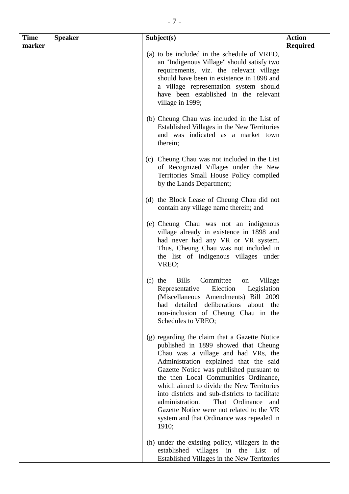| <b>Time</b><br>marker | <b>Speaker</b> | Subject(s)                                                                                                                                                                                                                                                                                                                                                                                                                                                                                                | <b>Action</b><br><b>Required</b> |
|-----------------------|----------------|-----------------------------------------------------------------------------------------------------------------------------------------------------------------------------------------------------------------------------------------------------------------------------------------------------------------------------------------------------------------------------------------------------------------------------------------------------------------------------------------------------------|----------------------------------|
|                       |                | (a) to be included in the schedule of VREO,<br>an "Indigenous Village" should satisfy two<br>requirements, viz. the relevant village<br>should have been in existence in 1898 and<br>a village representation system should<br>have been established in the relevant<br>village in 1999;                                                                                                                                                                                                                  |                                  |
|                       |                | (b) Cheung Chau was included in the List of<br>Established Villages in the New Territories<br>and was indicated as a market town<br>therein;                                                                                                                                                                                                                                                                                                                                                              |                                  |
|                       |                | (c) Cheung Chau was not included in the List<br>of Recognized Villages under the New<br>Territories Small House Policy compiled<br>by the Lands Department;                                                                                                                                                                                                                                                                                                                                               |                                  |
|                       |                | (d) the Block Lease of Cheung Chau did not<br>contain any village name therein; and                                                                                                                                                                                                                                                                                                                                                                                                                       |                                  |
|                       |                | (e) Cheung Chau was not an indigenous<br>village already in existence in 1898 and<br>had never had any VR or VR system.<br>Thus, Cheung Chau was not included in<br>the list of indigenous villages under<br>VREO;                                                                                                                                                                                                                                                                                        |                                  |
|                       |                | Committee<br><b>Bills</b><br>$(f)$ the<br>Village<br>on<br>Legislation<br>Election<br>Representative<br>(Miscellaneous Amendments) Bill 2009<br>had detailed deliberations about the<br>non-inclusion of Cheung Chau in the<br>Schedules to VREO;                                                                                                                                                                                                                                                         |                                  |
|                       |                | (g) regarding the claim that a Gazette Notice<br>published in 1899 showed that Cheung<br>Chau was a village and had VRs, the<br>Administration explained that the said<br>Gazette Notice was published pursuant to<br>the then Local Communities Ordinance,<br>which aimed to divide the New Territories<br>into districts and sub-districts to facilitate<br>administration.<br>That Ordinance<br>and<br>Gazette Notice were not related to the VR<br>system and that Ordinance was repealed in<br>1910; |                                  |
|                       |                | (h) under the existing policy, villagers in the<br>villages in the List of<br>established<br>Established Villages in the New Territories                                                                                                                                                                                                                                                                                                                                                                  |                                  |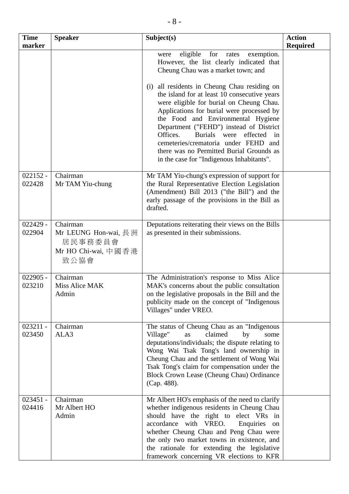| <b>Time</b><br>marker | <b>Speaker</b>                                                             | Subject(s)                                                                                                                                                                                                                                                                                                                                                                                                                                                                                                                                                                          | <b>Action</b><br><b>Required</b> |
|-----------------------|----------------------------------------------------------------------------|-------------------------------------------------------------------------------------------------------------------------------------------------------------------------------------------------------------------------------------------------------------------------------------------------------------------------------------------------------------------------------------------------------------------------------------------------------------------------------------------------------------------------------------------------------------------------------------|----------------------------------|
|                       |                                                                            | eligible<br>for<br>exemption.<br>rates<br>were<br>However, the list clearly indicated that<br>Cheung Chau was a market town; and<br>(i) all residents in Cheung Chau residing on<br>the island for at least 10 consecutive years<br>were eligible for burial on Cheung Chau.<br>Applications for burial were processed by<br>the Food and Environmental Hygiene<br>Department ("FEHD") instead of District<br>Offices.<br>Burials were effected in<br>cemeteries/crematoria under FEHD and<br>there was no Permitted Burial Grounds as<br>in the case for "Indigenous Inhabitants". |                                  |
| $022152 -$<br>022428  | Chairman<br>Mr TAM Yiu-chung                                               | Mr TAM Yiu-chung's expression of support for<br>the Rural Representative Election Legislation<br>(Amendment) Bill 2013 ("the Bill") and the<br>early passage of the provisions in the Bill as<br>drafted.                                                                                                                                                                                                                                                                                                                                                                           |                                  |
| $022429 -$<br>022904  | Chairman<br>Mr LEUNG Hon-wai, 長洲<br>居民事務委員會<br>Mr HO Chi-wai, 中國香港<br>致公協會 | Deputations reiterating their views on the Bills<br>as presented in their submissions.                                                                                                                                                                                                                                                                                                                                                                                                                                                                                              |                                  |
| $022905 -$<br>023210  | Chairman<br>Miss Alice MAK<br>Admin                                        | The Administration's response to Miss Alice<br>MAK's concerns about the public consultation<br>on the legislative proposals in the Bill and the<br>publicity made on the concept of "Indigenous<br>Villages" under VREO.                                                                                                                                                                                                                                                                                                                                                            |                                  |
| $023211 -$<br>023450  | Chairman<br>ALA3                                                           | The status of Cheung Chau as an "Indigenous<br>Village"<br>claimed<br>by<br>as<br>some<br>deputations/individuals; the dispute relating to<br>Wong Wai Tsak Tong's land ownership in<br>Cheung Chau and the settlement of Wong Wai<br>Tsak Tong's claim for compensation under the<br>Block Crown Lease (Cheung Chau) Ordinance<br>(Cap. 488).                                                                                                                                                                                                                                      |                                  |
| $023451 -$<br>024416  | Chairman<br>Mr Albert HO<br>Admin                                          | Mr Albert HO's emphasis of the need to clarify<br>whether indigenous residents in Cheung Chau<br>should have the right to elect VRs in<br>accordance with VREO.<br>Enquiries<br>on<br>whether Cheung Chau and Peng Chau were<br>the only two market towns in existence, and<br>the rationale for extending the legislative<br>framework concerning VR elections to KFR                                                                                                                                                                                                              |                                  |